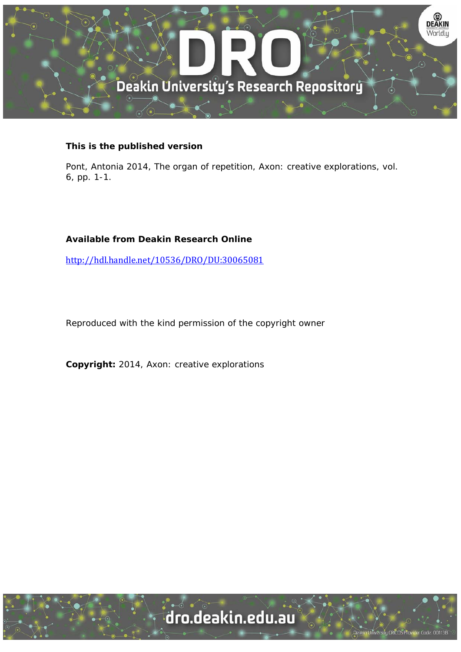

### **This is the published version**

Pont, Antonia 2014, The organ of repetition, Axon: creative explorations, vol. 6, pp. 1-1.

## **Available from Deakin Research Online**

http://hdl.handle.net/10536/DRO/DU:30065081

Reproduced with the kind permission of the copyright owner

**Copyright:** 2014, Axon: creative explorations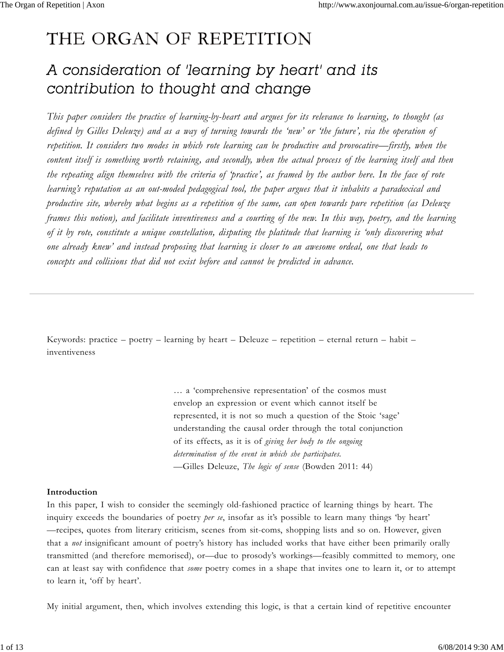# THE ORGAN OF REPETITION

## A consideration of 'learning by heart' and its contribution to thought and change

*This paper considers the practice of learning-by-heart and argues for its relevance to learning, to thought (as defined by Gilles Deleuze) and as a way of turning towards the 'new' or 'the future', via the operation of repetition. It considers two modes in which rote learning can be productive and provocative—firstly, when the content itself is something worth retaining, and secondly, when the actual process of the learning itself and then the repeating align themselves with the criteria of 'practice', as framed by the author here. In the face of rote learning's reputation as an out-moded pedagogical tool, the paper argues that it inhabits a paradoxical and productive site, whereby what begins as a repetition of the same, can open towards pure repetition (as Deleuze frames this notion), and facilitate inventiveness and a courting of the new. In this way, poetry, and the learning of it by rote, constitute a unique constellation, disputing the platitude that learning is 'only discovering what one already knew' and instead proposing that learning is closer to an awesome ordeal, one that leads to concepts and collisions that did not exist before and cannot be predicted in advance.*

Keywords: practice – poetry – learning by heart – Deleuze – repetition – eternal return – habit – inventiveness

> … a 'comprehensive representation' of the cosmos must envelop an expression or event which cannot itself be represented, it is not so much a question of the Stoic 'sage' understanding the causal order through the total conjunction of its effects, as it is of *giving her body to the ongoing determination of the event in which she participates.* —Gilles Deleuze, *The logic of sense* (Bowden 2011: 44)

#### **Introduction**

In this paper, I wish to consider the seemingly old-fashioned practice of learning things by heart. The inquiry exceeds the boundaries of poetry *per se*, insofar as it's possible to learn many things 'by heart' —recipes, quotes from literary criticism, scenes from sit-coms, shopping lists and so on. However, given that a *not* insignificant amount of poetry's history has included works that have either been primarily orally transmitted (and therefore memorised), or—due to prosody's workings—feasibly committed to memory, one can at least say with confidence that *some* poetry comes in a shape that invites one to learn it, or to attempt to learn it, 'off by heart'.

My initial argument, then, which involves extending this logic, is that a certain kind of repetitive encounter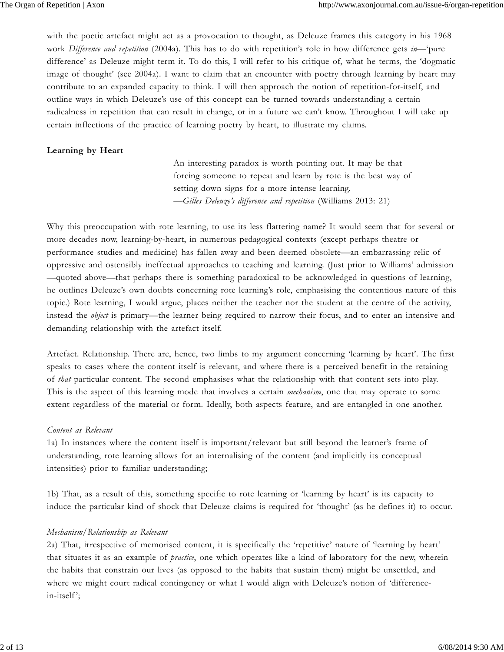with the poetic artefact might act as a provocation to thought, as Deleuze frames this category in his 1968 work *Difference and repetition* (2004a). This has to do with repetition's role in how difference gets *in*—'pure difference' as Deleuze might term it. To do this, I will refer to his critique of, what he terms, the 'dogmatic image of thought' (see 2004a). I want to claim that an encounter with poetry through learning by heart may contribute to an expanded capacity to think. I will then approach the notion of repetition-for-itself, and outline ways in which Deleuze's use of this concept can be turned towards understanding a certain radicalness in repetition that can result in change, or in a future we can't know. Throughout I will take up certain inflections of the practice of learning poetry by heart, to illustrate my claims.

#### **Learning by Heart**

 An interesting paradox is worth pointing out. It may be that forcing someone to repeat and learn by rote is the best way of setting down signs for a more intense learning. *—Gilles Deleuze's difference and repetition* (Williams 2013: 21)

Why this preoccupation with rote learning, to use its less flattering name? It would seem that for several or more decades now, learning-by-heart, in numerous pedagogical contexts (except perhaps theatre or performance studies and medicine) has fallen away and been deemed obsolete—an embarrassing relic of oppressive and ostensibly ineffectual approaches to teaching and learning. (Just prior to Williams' admission —quoted above—that perhaps there is something paradoxical to be acknowledged in questions of learning, he outlines Deleuze's own doubts concerning rote learning's role, emphasising the contentious nature of this topic.) Rote learning, I would argue, places neither the teacher nor the student at the centre of the activity, instead the *object* is primary—the learner being required to narrow their focus, and to enter an intensive and demanding relationship with the artefact itself.

Artefact. Relationship. There are, hence, two limbs to my argument concerning 'learning by heart'. The first speaks to cases where the content itself is relevant, and where there is a perceived benefit in the retaining of *that* particular content. The second emphasises what the relationship with that content sets into play. This is the aspect of this learning mode that involves a certain *mechanism*, one that may operate to some extent regardless of the material or form. Ideally, both aspects feature, and are entangled in one another.

#### *Content as Relevant*

1a) In instances where the content itself is important/relevant but still beyond the learner's frame of understanding, rote learning allows for an internalising of the content (and implicitly its conceptual intensities) prior to familiar understanding;

1b) That, as a result of this, something specific to rote learning or 'learning by heart' is its capacity to induce the particular kind of shock that Deleuze claims is required for 'thought' (as he defines it) to occur.

#### *Mechanism/Relationship as Relevant*

2a) That, irrespective of memorised content, it is specifically the 'repetitive' nature of 'learning by heart' that situates it as an example of *practice*, one which operates like a kind of laboratory for the new, wherein the habits that constrain our lives (as opposed to the habits that sustain them) might be unsettled, and where we might court radical contingency or what I would align with Deleuze's notion of 'differencein-itself ';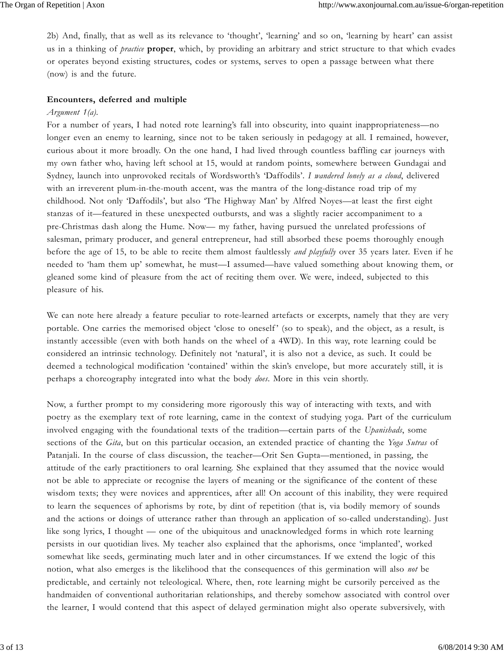2b) And, finally, that as well as its relevance to 'thought', 'learning' and so on, 'learning by heart' can assist us in a thinking of *practice* **proper**, which, by providing an arbitrary and strict structure to that which evades or operates beyond existing structures, codes or systems, serves to open a passage between what there (now) is and the future.

#### **Encounters, deferred and multiple**

#### *Argument 1(a).*

For a number of years, I had noted rote learning's fall into obscurity, into quaint inappropriateness—no longer even an enemy to learning, since not to be taken seriously in pedagogy at all. I remained, however, curious about it more broadly. On the one hand, I had lived through countless baffling car journeys with my own father who, having left school at 15, would at random points, somewhere between Gundagai and Sydney, launch into unprovoked recitals of Wordsworth's 'Daffodils'. *I wandered lonely as a cloud*, delivered with an irreverent plum-in-the-mouth accent, was the mantra of the long-distance road trip of my childhood. Not only 'Daffodils', but also 'The Highway Man' by Alfred Noyes—at least the first eight stanzas of it—featured in these unexpected outbursts, and was a slightly racier accompaniment to a pre-Christmas dash along the Hume. Now— my father, having pursued the unrelated professions of salesman, primary producer, and general entrepreneur, had still absorbed these poems thoroughly enough before the age of 15, to be able to recite them almost faultlessly *and playfully* over 35 years later. Even if he needed to 'ham them up' somewhat, he must—I assumed—have valued something about knowing them, or gleaned some kind of pleasure from the act of reciting them over. We were, indeed, subjected to this pleasure of his.

We can note here already a feature peculiar to rote-learned artefacts or excerpts, namely that they are very portable. One carries the memorised object 'close to oneself' (so to speak), and the object, as a result, is instantly accessible (even with both hands on the wheel of a 4WD). In this way, rote learning could be considered an intrinsic technology. Definitely not 'natural', it is also not a device, as such. It could be deemed a technological modification 'contained' within the skin's envelope, but more accurately still, it is perhaps a choreography integrated into what the body *does*. More in this vein shortly.

Now, a further prompt to my considering more rigorously this way of interacting with texts, and with poetry as the exemplary text of rote learning, came in the context of studying yoga. Part of the curriculum involved engaging with the foundational texts of the tradition—certain parts of the *Upanishads*, some sections of the *Gita*, but on this particular occasion, an extended practice of chanting the *Yoga Sutras* of Patanjali. In the course of class discussion, the teacher—Orit Sen Gupta—mentioned, in passing, the attitude of the early practitioners to oral learning. She explained that they assumed that the novice would not be able to appreciate or recognise the layers of meaning or the significance of the content of these wisdom texts; they were novices and apprentices, after all! On account of this inability, they were required to learn the sequences of aphorisms by rote, by dint of repetition (that is, via bodily memory of sounds and the actions or doings of utterance rather than through an application of so-called understanding). Just like song lyrics, I thought — one of the ubiquitous and unacknowledged forms in which rote learning persists in our quotidian lives. My teacher also explained that the aphorisms, once 'implanted', worked somewhat like seeds, germinating much later and in other circumstances. If we extend the logic of this notion, what also emerges is the likelihood that the consequences of this germination will also *not* be predictable, and certainly not teleological. Where, then, rote learning might be cursorily perceived as the handmaiden of conventional authoritarian relationships, and thereby somehow associated with control over the learner, I would contend that this aspect of delayed germination might also operate subversively, with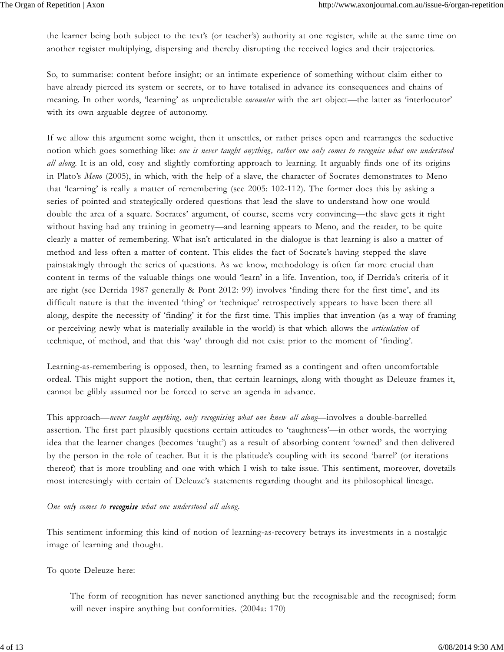the learner being both subject to the text's (or teacher's) authority at one register, while at the same time on another register multiplying, dispersing and thereby disrupting the received logics and their trajectories.

So, to summarise: content before insight; or an intimate experience of something without claim either to have already pierced its system or secrets, or to have totalised in advance its consequences and chains of meaning. In other words, 'learning' as unpredictable *encounter* with the art object—the latter as 'interlocutor' with its own arguable degree of autonomy.

If we allow this argument some weight, then it unsettles, or rather prises open and rearranges the seductive notion which goes something like: *one is never taught anything, rather one only comes to recognise what one understood all along*. It is an old, cosy and slightly comforting approach to learning. It arguably finds one of its origins in Plato's *Meno* (2005), in which, with the help of a slave, the character of Socrates demonstrates to Meno that 'learning' is really a matter of remembering (see 2005: 102-112). The former does this by asking a series of pointed and strategically ordered questions that lead the slave to understand how one would double the area of a square. Socrates' argument, of course, seems very convincing—the slave gets it right without having had any training in geometry—and learning appears to Meno, and the reader, to be quite clearly a matter of remembering. What isn't articulated in the dialogue is that learning is also a matter of method and less often a matter of content. This elides the fact of Socrate's having stepped the slave painstakingly through the series of questions. As we know, methodology is often far more crucial than content in terms of the valuable things one would 'learn' in a life. Invention, too, if Derrida's criteria of it are right (see Derrida 1987 generally & Pont 2012: 99) involves 'finding there for the first time', and its difficult nature is that the invented 'thing' or 'technique' retrospectively appears to have been there all along, despite the necessity of 'finding' it for the first time. This implies that invention (as a way of framing or perceiving newly what is materially available in the world) is that which allows the *articulation* of technique, of method, and that this 'way' through did not exist prior to the moment of 'finding'.

Learning-as-remembering is opposed, then, to learning framed as a contingent and often uncomfortable ordeal. This might support the notion, then, that certain learnings, along with thought as Deleuze frames it, cannot be glibly assumed nor be forced to serve an agenda in advance.

This approach—*never taught anything, only recognising what one knew all along*—involves a double-barrelled assertion. The first part plausibly questions certain attitudes to 'taughtness'—in other words, the worrying idea that the learner changes (becomes 'taught') as a result of absorbing content 'owned' and then delivered by the person in the role of teacher. But it is the platitude's coupling with its second 'barrel' (or iterations thereof) that is more troubling and one with which I wish to take issue. This sentiment, moreover, dovetails most interestingly with certain of Deleuze's statements regarding thought and its philosophical lineage.

*One only comes to recognise what one understood all along.*

This sentiment informing this kind of notion of learning-as-recovery betrays its investments in a nostalgic image of learning and thought.

To quote Deleuze here:

The form of recognition has never sanctioned anything but the recognisable and the recognised; form will never inspire anything but conformities. (2004a: 170)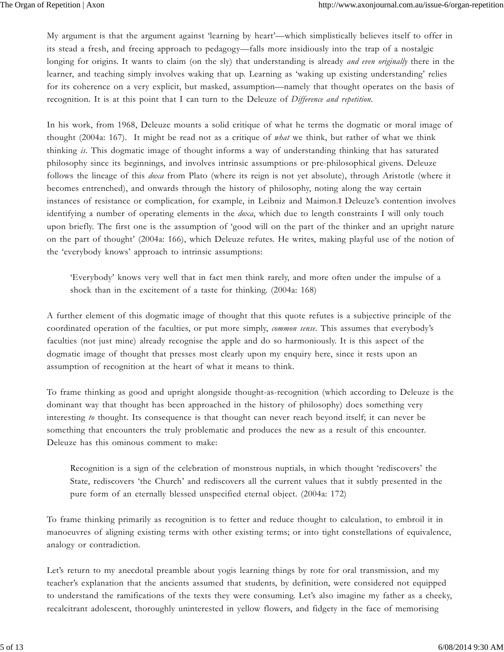My argument is that the argument against 'learning by heart'—which simplistically believes itself to offer in its stead a fresh, and freeing approach to pedagogy—falls more insidiously into the trap of a nostalgic longing for origins. It wants to claim (on the sly) that understanding is already *and even originally* there in the learner, and teaching simply involves waking that up. Learning as 'waking up existing understanding' relies for its coherence on a very explicit, but masked, assumption—namely that thought operates on the basis of recognition. It is at this point that I can turn to the Deleuze of *Difference and repetition*.

In his work, from 1968, Deleuze mounts a solid critique of what he terms the dogmatic or moral image of thought (2004a: 167). It might be read not as a critique of *what* we think, but rather of what we think thinking *is*. This dogmatic image of thought informs a way of understanding thinking that has saturated philosophy since its beginnings, and involves intrinsic assumptions or pre-philosophical givens. Deleuze follows the lineage of this *doxa* from Plato (where its reign is not yet absolute), through Aristotle (where it becomes entrenched), and onwards through the history of philosophy, noting along the way certain instances of resistance or complication, for example, in Leibniz and Maimon.**1** Deleuze's contention involves identifying a number of operating elements in the *doxa*, which due to length constraints I will only touch upon briefly. The first one is the assumption of 'good will on the part of the thinker and an upright nature on the part of thought' (2004a: 166), which Deleuze refutes. He writes, making playful use of the notion of the 'everybody knows' approach to intrinsic assumptions:

'Everybody' knows very well that in fact men think rarely, and more often under the impulse of a shock than in the excitement of a taste for thinking. (2004a: 168)

A further element of this dogmatic image of thought that this quote refutes is a subjective principle of the coordinated operation of the faculties, or put more simply, *common sense*. This assumes that everybody's faculties (not just mine) already recognise the apple and do so harmoniously. It is this aspect of the dogmatic image of thought that presses most clearly upon my enquiry here, since it rests upon an assumption of recognition at the heart of what it means to think.

To frame thinking as good and upright alongside thought-as-recognition (which according to Deleuze is the dominant way that thought has been approached in the history of philosophy) does something very interesting *to* thought. Its consequence is that thought can never reach beyond itself; it can never be something that encounters the truly problematic and produces the new as a result of this encounter. Deleuze has this ominous comment to make:

Recognition is a sign of the celebration of monstrous nuptials, in which thought 'rediscovers' the State, rediscovers 'the Church' and rediscovers all the current values that it subtly presented in the pure form of an eternally blessed unspecified eternal object. (2004a: 172)

To frame thinking primarily as recognition is to fetter and reduce thought to calculation, to embroil it in manoeuvres of aligning existing terms with other existing terms; or into tight constellations of equivalence, analogy or contradiction.

Let's return to my anecdotal preamble about yogis learning things by rote for oral transmission, and my teacher's explanation that the ancients assumed that students, by definition, were considered not equipped to understand the ramifications of the texts they were consuming. Let's also imagine my father as a cheeky, recalcitrant adolescent, thoroughly uninterested in yellow flowers, and fidgety in the face of memorising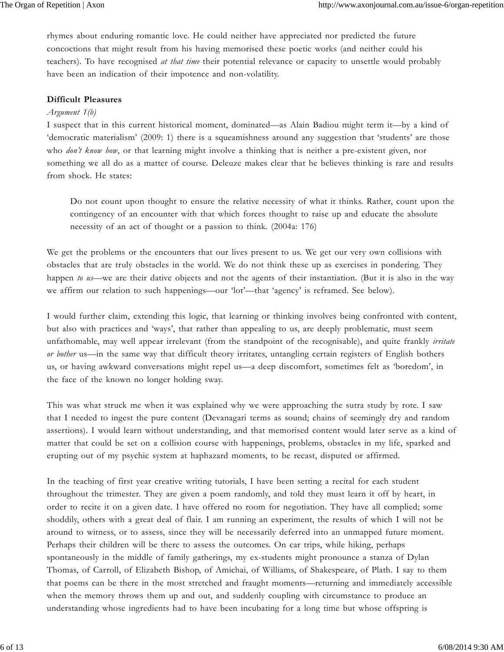rhymes about enduring romantic love. He could neither have appreciated nor predicted the future concoctions that might result from his having memorised these poetic works (and neither could his teachers). To have recognised *at that time* their potential relevance or capacity to unsettle would probably have been an indication of their impotence and non-volatility.

#### **Difficult Pleasures**

#### *Argument 1(b)*

I suspect that in this current historical moment, dominated—as Alain Badiou might term it—by a kind of 'democratic materialism' (2009: 1) there is a squeamishness around any suggestion that 'students' are those who *don't know how*, or that learning might involve a thinking that is neither a pre-existent given, nor something we all do as a matter of course. Deleuze makes clear that he believes thinking is rare and results from shock. He states:

Do not count upon thought to ensure the relative necessity of what it thinks. Rather, count upon the contingency of an encounter with that which forces thought to raise up and educate the absolute necessity of an act of thought or a passion to think. (2004a: 176)

We get the problems or the encounters that our lives present to us. We get our very own collisions with obstacles that are truly obstacles in the world. We do not think these up as exercises in pondering. They happen *to us*—we are their dative objects and not the agents of their instantiation. (But it is also in the way we affirm our relation to such happenings—our 'lot'—that 'agency' is reframed. See below).

I would further claim, extending this logic, that learning or thinking involves being confronted with content, but also with practices and 'ways', that rather than appealing to us, are deeply problematic, must seem unfathomable, may well appear irrelevant (from the standpoint of the recognisable), and quite frankly *irritate or bother* us—in the same way that difficult theory irritates, untangling certain registers of English bothers us, or having awkward conversations might repel us—a deep discomfort, sometimes felt as 'boredom', in the face of the known no longer holding sway.

This was what struck me when it was explained why we were approaching the sutra study by rote. I saw that I needed to ingest the pure content (Devanagari terms as sound; chains of seemingly dry and random assertions). I would learn without understanding, and that memorised content would later serve as a kind of matter that could be set on a collision course with happenings, problems, obstacles in my life, sparked and erupting out of my psychic system at haphazard moments, to be recast, disputed or affirmed.

In the teaching of first year creative writing tutorials, I have been setting a recital for each student throughout the trimester. They are given a poem randomly, and told they must learn it off by heart, in order to recite it on a given date. I have offered no room for negotiation. They have all complied; some shoddily, others with a great deal of flair. I am running an experiment, the results of which I will not be around to witness, or to assess, since they will be necessarily deferred into an unmapped future moment. Perhaps their children will be there to assess the outcomes. On car trips, while hiking, perhaps spontaneously in the middle of family gatherings, my ex-students might pronounce a stanza of Dylan Thomas, of Carroll, of Elizabeth Bishop, of Amichai, of Williams, of Shakespeare, of Plath. I say to them that poems can be there in the most stretched and fraught moments—returning and immediately accessible when the memory throws them up and out, and suddenly coupling with circumstance to produce an understanding whose ingredients had to have been incubating for a long time but whose offspring is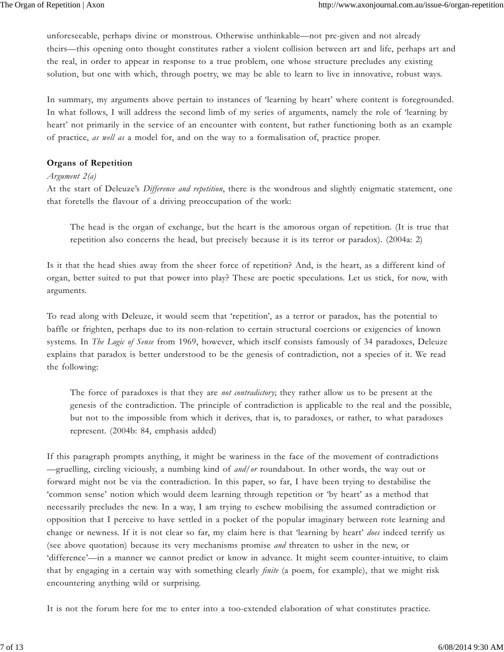unforeseeable, perhaps divine or monstrous. Otherwise unthinkable—not pre-given and not already theirs—this opening onto thought constitutes rather a violent collision between art and life, perhaps art and the real, in order to appear in response to a true problem, one whose structure precludes any existing solution, but one with which, through poetry, we may be able to learn to live in innovative, robust ways.

In summary, my arguments above pertain to instances of 'learning by heart' where content is foregrounded. In what follows, I will address the second limb of my series of arguments, namely the role of 'learning by heart' not primarily in the service of an encounter with content, but rather functioning both as an example of practice, *as well as* a model for, and on the way to a formalisation of, practice proper.

#### **Organs of Repetition**

#### *Argument 2(a)*

At the start of Deleuze's *Difference and repetition*, there is the wondrous and slightly enigmatic statement, one that foretells the flavour of a driving preoccupation of the work:

The head is the organ of exchange, but the heart is the amorous organ of repetition. (It is true that repetition also concerns the head, but precisely because it is its terror or paradox). (2004a: 2)

Is it that the head shies away from the sheer force of repetition? And, is the heart, as a different kind of organ, better suited to put that power into play? These are poetic speculations. Let us stick, for now, with arguments.

To read along with Deleuze, it would seem that 'repetition', as a terror or paradox, has the potential to baffle or frighten, perhaps due to its non-relation to certain structural coercions or exigencies of known systems. In *The Logic of Sense* from 1969, however, which itself consists famously of 34 paradoxes, Deleuze explains that paradox is better understood to be the genesis of contradiction, not a species of it. We read the following:

The force of paradoxes is that they are *not contradictory*; they rather allow us to be present at the genesis of the contradiction. The principle of contradiction is applicable to the real and the possible, but not to the impossible from which it derives, that is, to paradoxes, or rather, to what paradoxes represent. (2004b: 84, emphasis added)

If this paragraph prompts anything, it might be wariness in the face of the movement of contradictions —gruelling, circling viciously, a numbing kind of *and/or* roundabout. In other words, the way out or forward might not be via the contradiction. In this paper, so far, I have been trying to destabilise the 'common sense' notion which would deem learning through repetition or 'by heart' as a method that necessarily precludes the new. In a way, I am trying to eschew mobilising the assumed contradiction or opposition that I perceive to have settled in a pocket of the popular imaginary between rote learning and change or newness. If it is not clear so far, my claim here is that 'learning by heart' *does* indeed terrify us (see above quotation) because its very mechanisms promise *and* threaten to usher in the new, or 'difference'—in a manner we cannot predict or know in advance. It might seem counter-intuitive, to claim that by engaging in a certain way with something clearly *finite* (a poem, for example), that we might risk encountering anything wild or surprising.

It is not the forum here for me to enter into a too-extended elaboration of what constitutes practice.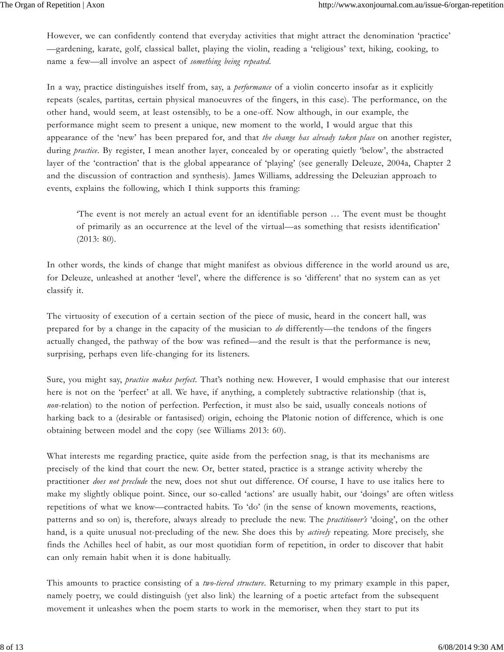However, we can confidently contend that everyday activities that might attract the denomination 'practice' —gardening, karate, golf, classical ballet, playing the violin, reading a 'religious' text, hiking, cooking, to name a few—all involve an aspect of *something being repeated*.

In a way, practice distinguishes itself from, say, a *performance* of a violin concerto insofar as it explicitly repeats (scales, partitas, certain physical manoeuvres of the fingers, in this case). The performance, on the other hand, would seem, at least ostensibly, to be a one-off. Now although, in our example, the performance might seem to present a unique, new moment to the world, I would argue that this appearance of the 'new' has been prepared for, and that *the change has already taken place* on another register, during *practice*. By register, I mean another layer, concealed by or operating quietly 'below', the abstracted layer of the 'contraction' that is the global appearance of 'playing' (see generally Deleuze, 2004a, Chapter 2 and the discussion of contraction and synthesis). James Williams, addressing the Deleuzian approach to events, explains the following, which I think supports this framing:

'The event is not merely an actual event for an identifiable person … The event must be thought of primarily as an occurrence at the level of the virtual—as something that resists identification' (2013: 80).

In other words, the kinds of change that might manifest as obvious difference in the world around us are, for Deleuze, unleashed at another 'level', where the difference is so 'different' that no system can as yet classify it.

The virtuosity of execution of a certain section of the piece of music, heard in the concert hall, was prepared for by a change in the capacity of the musician to *do* differently—the tendons of the fingers actually changed, the pathway of the bow was refined—and the result is that the performance is new, surprising, perhaps even life-changing for its listeners.

Sure, you might say, *practice makes perfect*. That's nothing new. However, I would emphasise that our interest here is not on the 'perfect' at all. We have, if anything, a completely subtractive relationship (that is, *non*-relation) to the notion of perfection. Perfection, it must also be said, usually conceals notions of harking back to a (desirable or fantasised) origin, echoing the Platonic notion of difference, which is one obtaining between model and the copy (see Williams 2013: 60).

What interests me regarding practice, quite aside from the perfection snag, is that its mechanisms are precisely of the kind that court the new. Or, better stated, practice is a strange activity whereby the practitioner *does not preclude* the new, does not shut out difference. Of course, I have to use italics here to make my slightly oblique point. Since, our so-called 'actions' are usually habit, our 'doings' are often witless repetitions of what we know—contracted habits. To 'do' (in the sense of known movements, reactions, patterns and so on) is, therefore, always already to preclude the new. The *practitioner's* 'doing', on the other hand, is a quite unusual not-precluding of the new. She does this by *actively* repeating. More precisely, she finds the Achilles heel of habit, as our most quotidian form of repetition, in order to discover that habit can only remain habit when it is done habitually.

This amounts to practice consisting of a *two-tiered structure*. Returning to my primary example in this paper, namely poetry, we could distinguish (yet also link) the learning of a poetic artefact from the subsequent movement it unleashes when the poem starts to work in the memoriser, when they start to put its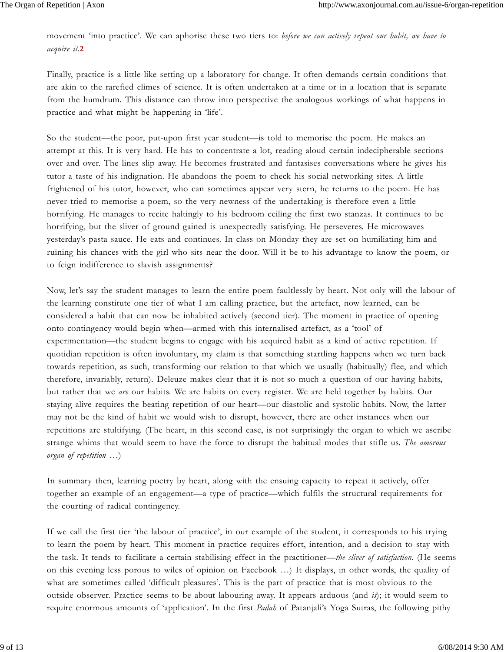movement 'into practice'. We can aphorise these two tiers to: *before we can actively repeat our habit, we have to acquire it.***2**

Finally, practice is a little like setting up a laboratory for change. It often demands certain conditions that are akin to the rarefied climes of science. It is often undertaken at a time or in a location that is separate from the humdrum. This distance can throw into perspective the analogous workings of what happens in practice and what might be happening in 'life'.

So the student—the poor, put-upon first year student—is told to memorise the poem. He makes an attempt at this. It is very hard. He has to concentrate a lot, reading aloud certain indecipherable sections over and over. The lines slip away. He becomes frustrated and fantasises conversations where he gives his tutor a taste of his indignation. He abandons the poem to check his social networking sites. A little frightened of his tutor, however, who can sometimes appear very stern, he returns to the poem. He has never tried to memorise a poem, so the very newness of the undertaking is therefore even a little horrifying. He manages to recite haltingly to his bedroom ceiling the first two stanzas. It continues to be horrifying, but the sliver of ground gained is unexpectedly satisfying. He perseveres. He microwaves yesterday's pasta sauce. He eats and continues. In class on Monday they are set on humiliating him and ruining his chances with the girl who sits near the door. Will it be to his advantage to know the poem, or to feign indifference to slavish assignments?

Now, let's say the student manages to learn the entire poem faultlessly by heart. Not only will the labour of the learning constitute one tier of what I am calling practice, but the artefact, now learned, can be considered a habit that can now be inhabited actively (second tier). The moment in practice of opening onto contingency would begin when—armed with this internalised artefact, as a 'tool' of experimentation—the student begins to engage with his acquired habit as a kind of active repetition. If quotidian repetition is often involuntary, my claim is that something startling happens when we turn back towards repetition, as such, transforming our relation to that which we usually (habitually) flee, and which therefore, invariably, return). Deleuze makes clear that it is not so much a question of our having habits, but rather that we *are* our habits. We are habits on every register. We are held together by habits. Our staying alive requires the beating repetition of our heart—our diastolic and systolic habits. Now, the latter may not be the kind of habit we would wish to disrupt, however, there are other instances when our repetitions are stultifying. (The heart, in this second case, is not surprisingly the organ to which we ascribe strange whims that would seem to have the force to disrupt the habitual modes that stifle us. *The amorous organ of repetition …*)

In summary then, learning poetry by heart, along with the ensuing capacity to repeat it actively, offer together an example of an engagement—a type of practice—which fulfils the structural requirements for the courting of radical contingency.

If we call the first tier 'the labour of practice', in our example of the student, it corresponds to his trying to learn the poem by heart. This moment in practice requires effort, intention, and a decision to stay with the task. It tends to facilitate a certain stabilising effect in the practitioner—*the sliver of satisfaction*. (He seems on this evening less porous to wiles of opinion on Facebook …) It displays, in other words, the quality of what are sometimes called 'difficult pleasures'. This is the part of practice that is most obvious to the outside observer. Practice seems to be about labouring away. It appears arduous (and *is*); it would seem to require enormous amounts of 'application'. In the first *Padah* of Patanjali's Yoga Sutras, the following pithy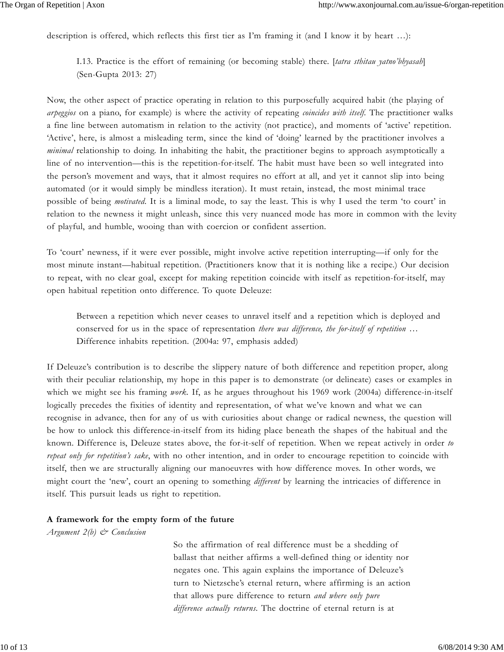description is offered, which reflects this first tier as I'm framing it (and I know it by heart …):

I.13. Practice is the effort of remaining (or becoming stable) there. [*tatra sthitau yatno'bhyasah*] (Sen-Gupta 2013: 27)

Now, the other aspect of practice operating in relation to this purposefully acquired habit (the playing of *arpeggios* on a piano, for example) is where the activity of repeating *coincides with itself*. The practitioner walks a fine line between automatism in relation to the activity (not practice), and moments of 'active' repetition. 'Active', here, is almost a misleading term, since the kind of 'doing' learned by the practitioner involves a *minimal* relationship to doing. In inhabiting the habit, the practitioner begins to approach asymptotically a line of no intervention—this is the repetition-for-itself. The habit must have been so well integrated into the person's movement and ways, that it almost requires no effort at all, and yet it cannot slip into being automated (or it would simply be mindless iteration). It must retain, instead, the most minimal trace possible of being *motivated*. It is a liminal mode, to say the least. This is why I used the term 'to court' in relation to the newness it might unleash, since this very nuanced mode has more in common with the levity of playful, and humble, wooing than with coercion or confident assertion.

To 'court' newness, if it were ever possible, might involve active repetition interrupting—if only for the most minute instant—habitual repetition. (Practitioners know that it is nothing like a recipe.) Our decision to repeat, with no clear goal, except for making repetition coincide with itself as repetition-for-itself, may open habitual repetition onto difference. To quote Deleuze:

Between a repetition which never ceases to unravel itself and a repetition which is deployed and conserved for us in the space of representation *there was difference, the for-itself of repetition* … Difference inhabits repetition. (2004a: 97, emphasis added)

If Deleuze's contribution is to describe the slippery nature of both difference and repetition proper, along with their peculiar relationship, my hope in this paper is to demonstrate (or delineate) cases or examples in which we might see his framing *work*. If, as he argues throughout his 1969 work (2004a) difference-in-itself logically precedes the fixities of identity and representation, of what we've known and what we can recognise in advance, then for any of us with curiosities about change or radical newness, the question will be how to unlock this difference-in-itself from its hiding place beneath the shapes of the habitual and the known. Difference is, Deleuze states above, the for-it-self of repetition. When we repeat actively in order *to repeat only for repetition's sake*, with no other intention, and in order to encourage repetition to coincide with itself, then we are structurally aligning our manoeuvres with how difference moves. In other words, we might court the 'new', court an opening to something *different* by learning the intricacies of difference in itself. This pursuit leads us right to repetition.

#### **A framework for the empty form of the future**

*Argument 2(b) & Conclusion*

 So the affirmation of real difference must be a shedding of ballast that neither affirms a well-defined thing or identity nor negates one. This again explains the importance of Deleuze's turn to Nietzsche's eternal return, where affirming is an action that allows pure difference to return *and where only pure difference actually returns*. The doctrine of eternal return is at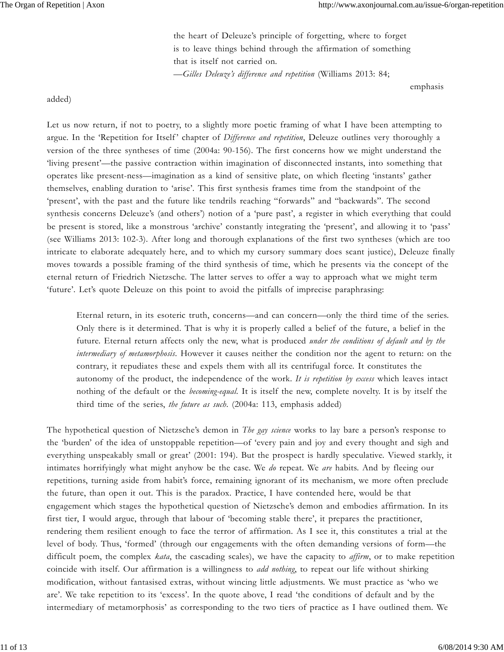the heart of Deleuze's principle of forgetting, where to forget is to leave things behind through the affirmation of something that is itself not carried on. *—Gilles Deleuze's difference and repetition* (Williams 2013: 84;

emphasis

added)

Let us now return, if not to poetry, to a slightly more poetic framing of what I have been attempting to argue. In the 'Repetition for Itself' chapter of *Difference and repetition*, Deleuze outlines very thoroughly a version of the three syntheses of time (2004a: 90-156). The first concerns how we might understand the 'living present'—the passive contraction within imagination of disconnected instants, into something that operates like present-ness—imagination as a kind of sensitive plate, on which fleeting 'instants' gather themselves, enabling duration to 'arise'. This first synthesis frames time from the standpoint of the 'present', with the past and the future like tendrils reaching "forwards" and "backwards". The second synthesis concerns Deleuze's (and others') notion of a 'pure past', a register in which everything that could be present is stored, like a monstrous 'archive' constantly integrating the 'present', and allowing it to 'pass' (see Williams 2013: 102-3). After long and thorough explanations of the first two syntheses (which are too intricate to elaborate adequately here, and to which my cursory summary does scant justice), Deleuze finally moves towards a possible framing of the third synthesis of time, which he presents via the concept of the eternal return of Friedrich Nietzsche. The latter serves to offer a way to approach what we might term 'future'. Let's quote Deleuze on this point to avoid the pitfalls of imprecise paraphrasing:

Eternal return, in its esoteric truth, concerns—and can concern—only the third time of the series. Only there is it determined. That is why it is properly called a belief of the future, a belief in the future. Eternal return affects only the new, what is produced *under the conditions of default and by the intermediary of metamorphosis*. However it causes neither the condition nor the agent to return: on the contrary, it repudiates these and expels them with all its centrifugal force. It constitutes the autonomy of the product, the independence of the work. *It is repetition by excess* which leaves intact nothing of the default or the *becoming-equal*. It is itself the new, complete novelty. It is by itself the third time of the series, *the future as such*. (2004a: 113, emphasis added)

The hypothetical question of Nietzsche's demon in *The gay science* works to lay bare a person's response to the 'burden' of the idea of unstoppable repetition—of 'every pain and joy and every thought and sigh and everything unspeakably small or great' (2001: 194). But the prospect is hardly speculative. Viewed starkly, it intimates horrifyingly what might anyhow be the case. We *do* repeat. We *are* habits. And by fleeing our repetitions, turning aside from habit's force, remaining ignorant of its mechanism, we more often preclude the future, than open it out. This is the paradox. Practice, I have contended here, would be that engagement which stages the hypothetical question of Nietzsche's demon and embodies affirmation. In its first tier, I would argue, through that labour of 'becoming stable there', it prepares the practitioner, rendering them resilient enough to face the terror of affirmation. As I see it, this constitutes a trial at the level of body. Thus, 'formed' (through our engagements with the often demanding versions of form—the difficult poem, the complex *kata*, the cascading scales), we have the capacity to *affirm*, or to make repetition coincide with itself. Our affirmation is a willingness to *add nothing*, to repeat our life without shirking modification, without fantasised extras, without wincing little adjustments. We must practice as 'who we are'. We take repetition to its 'excess'. In the quote above, I read 'the conditions of default and by the intermediary of metamorphosis' as corresponding to the two tiers of practice as I have outlined them. We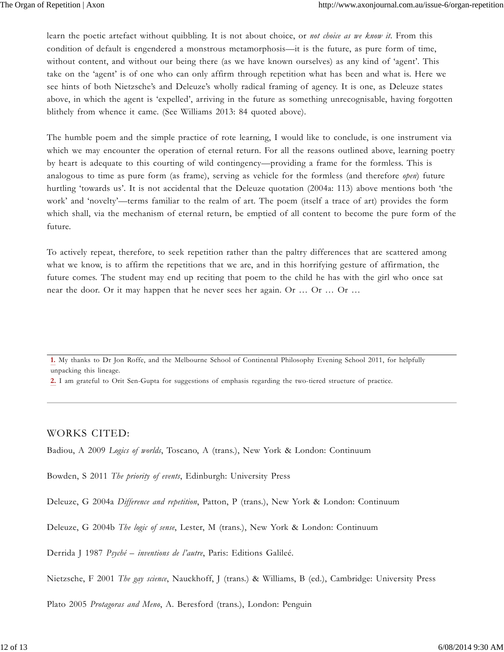learn the poetic artefact without quibbling. It is not about choice, or *not choice as we know it*. From this condition of default is engendered a monstrous metamorphosis—it is the future, as pure form of time, without content, and without our being there (as we have known ourselves) as any kind of 'agent'. This take on the 'agent' is of one who can only affirm through repetition what has been and what is. Here we see hints of both Nietzsche's and Deleuze's wholly radical framing of agency. It is one, as Deleuze states above, in which the agent is 'expelled', arriving in the future as something unrecognisable, having forgotten blithely from whence it came. (See Williams 2013: 84 quoted above).

The humble poem and the simple practice of rote learning, I would like to conclude, is one instrument via which we may encounter the operation of eternal return. For all the reasons outlined above, learning poetry by heart is adequate to this courting of wild contingency—providing a frame for the formless. This is analogous to time as pure form (as frame), serving as vehicle for the formless (and therefore *open*) future hurtling 'towards us'. It is not accidental that the Deleuze quotation (2004a: 113) above mentions both 'the work' and 'novelty'—terms familiar to the realm of art. The poem (itself a trace of art) provides the form which shall, via the mechanism of eternal return, be emptied of all content to become the pure form of the future.

To actively repeat, therefore, to seek repetition rather than the paltry differences that are scattered among what we know, is to affirm the repetitions that we are, and in this horrifying gesture of affirmation, the future comes. The student may end up reciting that poem to the child he has with the girl who once sat near the door. Or it may happen that he never sees her again. Or … Or … Or …

**1.** My thanks to Dr Jon Roffe, and the Melbourne School of Continental Philosophy Evening School 2011, for helpfully unpacking this lineage.

**2.** I am grateful to Orit Sen-Gupta for suggestions of emphasis regarding the two-tiered structure of practice.

WORKS CITED:

Badiou, A 2009 *Logics of worlds*, Toscano, A (trans.), New York & London: Continuum

Bowden, S 2011 *The priority of events*, Edinburgh: University Press

Deleuze, G 2004a *Difference and repetition*, Patton, P (trans.), New York & London: Continuum

Deleuze, G 2004b *The logic of sense*, Lester, M (trans.), New York & London: Continuum

Derrida J 1987 *Psyché – inventions de l'autre*, Paris: Editions Galileé.

Nietzsche, F 2001 *The gay science*, Nauckhoff, J (trans.) & Williams, B (ed.), Cambridge: University Press

Plato 2005 *Protagoras and Meno*, A. Beresford (trans.), London: Penguin